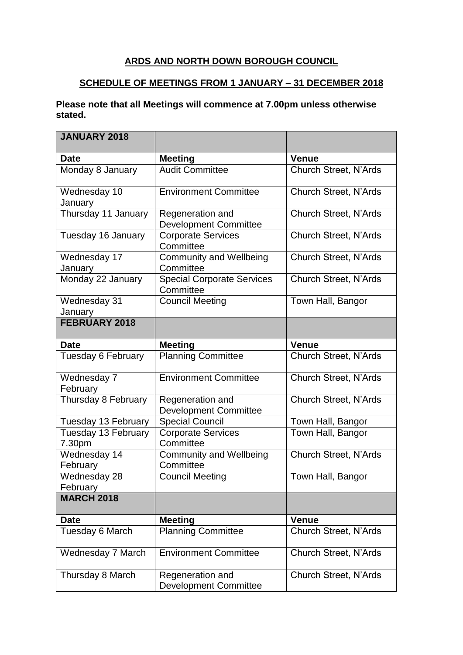## **ARDS AND NORTH DOWN BOROUGH COUNCIL**

## **SCHEDULE OF MEETINGS FROM 1 JANUARY – 31 DECEMBER 2018**

## **Please note that all Meetings will commence at 7.00pm unless otherwise stated.**

| <b>JANUARY 2018</b>           |                                                  |                              |
|-------------------------------|--------------------------------------------------|------------------------------|
| <b>Date</b>                   | <b>Meeting</b>                                   | <b>Venue</b>                 |
| Monday 8 January              | <b>Audit Committee</b>                           | <b>Church Street, N'Ards</b> |
| Wednesday 10<br>January       | <b>Environment Committee</b>                     | Church Street, N'Ards        |
| Thursday 11 January           | Regeneration and<br><b>Development Committee</b> | <b>Church Street, N'Ards</b> |
| Tuesday 16 January            | <b>Corporate Services</b><br>Committee           | Church Street, N'Ards        |
| Wednesday 17<br>January       | <b>Community and Wellbeing</b><br>Committee      | Church Street, N'Ards        |
| Monday 22 January             | <b>Special Corporate Services</b><br>Committee   | Church Street, N'Ards        |
| Wednesday 31<br>January       | <b>Council Meeting</b>                           | Town Hall, Bangor            |
| <b>FEBRUARY 2018</b>          |                                                  |                              |
| <b>Date</b>                   | <b>Meeting</b>                                   | <b>Venue</b>                 |
| Tuesday 6 February            | <b>Planning Committee</b>                        | <b>Church Street, N'Ards</b> |
| Wednesday 7<br>February       | <b>Environment Committee</b>                     | <b>Church Street, N'Ards</b> |
| Thursday 8 February           | Regeneration and<br><b>Development Committee</b> | <b>Church Street, N'Ards</b> |
| Tuesday 13 February           | <b>Special Council</b>                           | Town Hall, Bangor            |
| Tuesday 13 February<br>7.30pm | <b>Corporate Services</b><br>Committee           | Town Hall, Bangor            |
| Wednesday 14<br>February      | <b>Community and Wellbeing</b><br>Committee      | Church Street, N'Ards        |
| Wednesday 28<br>February      | <b>Council Meeting</b>                           | Town Hall, Bangor            |
| <b>MARCH 2018</b>             |                                                  |                              |
| <b>Date</b>                   | <b>Meeting</b>                                   | <b>Venue</b>                 |
| Tuesday 6 March               | <b>Planning Committee</b>                        | <b>Church Street, N'Ards</b> |
| Wednesday 7 March             | <b>Environment Committee</b>                     | Church Street, N'Ards        |
| Thursday 8 March              | Regeneration and<br><b>Development Committee</b> | Church Street, N'Ards        |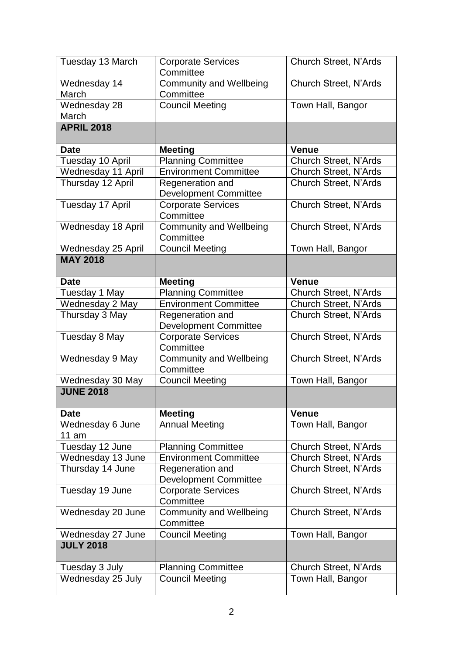| Tuesday 13 March          | <b>Corporate Services</b><br>Committee           | <b>Church Street, N'Ards</b> |
|---------------------------|--------------------------------------------------|------------------------------|
| Wednesday 14<br>March     | <b>Community and Wellbeing</b><br>Committee      | <b>Church Street, N'Ards</b> |
| Wednesday 28<br>March     | <b>Council Meeting</b>                           | Town Hall, Bangor            |
| <b>APRIL 2018</b>         |                                                  |                              |
| <b>Date</b>               | <b>Meeting</b>                                   | <b>Venue</b>                 |
| Tuesday 10 April          | <b>Planning Committee</b>                        | <b>Church Street, N'Ards</b> |
| Wednesday 11 April        | <b>Environment Committee</b>                     | Church Street, N'Ards        |
| Thursday 12 April         | Regeneration and<br><b>Development Committee</b> | <b>Church Street, N'Ards</b> |
| Tuesday 17 April          | <b>Corporate Services</b><br>Committee           | Church Street, N'Ards        |
| Wednesday 18 April        | <b>Community and Wellbeing</b><br>Committee      | <b>Church Street, N'Ards</b> |
| Wednesday 25 April        | <b>Council Meeting</b>                           | Town Hall, Bangor            |
| <b>MAY 2018</b>           |                                                  |                              |
| <b>Date</b>               | <b>Meeting</b>                                   | Venue                        |
| Tuesday 1 May             | <b>Planning Committee</b>                        | Church Street, N'Ards        |
| Wednesday 2 May           | <b>Environment Committee</b>                     | <b>Church Street, N'Ards</b> |
| Thursday 3 May            | Regeneration and<br><b>Development Committee</b> | <b>Church Street, N'Ards</b> |
| Tuesday 8 May             | <b>Corporate Services</b><br>Committee           | <b>Church Street, N'Ards</b> |
| Wednesday 9 May           | <b>Community and Wellbeing</b><br>Committee      | Church Street, N'Ards        |
| Wednesday 30 May          | <b>Council Meeting</b>                           | Town Hall, Bangor            |
| <b>JUNE 2018</b>          |                                                  |                              |
| <b>Date</b>               | <b>Meeting</b>                                   | <b>Venue</b>                 |
| Wednesday 6 June<br>11 am | <b>Annual Meeting</b>                            | Town Hall, Bangor            |
| Tuesday 12 June           | <b>Planning Committee</b>                        | <b>Church Street, N'Ards</b> |
| Wednesday 13 June         | <b>Environment Committee</b>                     | <b>Church Street, N'Ards</b> |
| Thursday 14 June          | Regeneration and<br><b>Development Committee</b> | <b>Church Street, N'Ards</b> |
| Tuesday 19 June           | <b>Corporate Services</b><br>Committee           | <b>Church Street, N'Ards</b> |
| Wednesday 20 June         | <b>Community and Wellbeing</b><br>Committee      | Church Street, N'Ards        |
| Wednesday 27 June         | <b>Council Meeting</b>                           | Town Hall, Bangor            |
| <b>JULY 2018</b>          |                                                  |                              |
| Tuesday 3 July            | <b>Planning Committee</b>                        | Church Street, N'Ards        |
| Wednesday 25 July         | <b>Council Meeting</b>                           | Town Hall, Bangor            |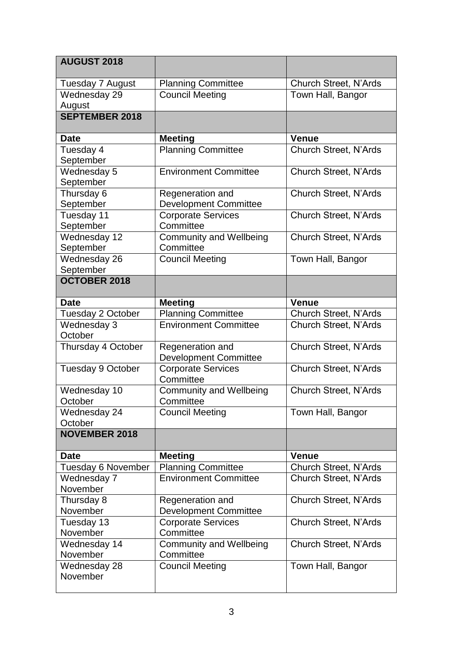| <b>AUGUST 2018</b>        |                                                  |                              |
|---------------------------|--------------------------------------------------|------------------------------|
| Tuesday 7 August          | <b>Planning Committee</b>                        | <b>Church Street, N'Ards</b> |
| Wednesday 29              | <b>Council Meeting</b>                           | Town Hall, Bangor            |
| August                    |                                                  |                              |
| <b>SEPTEMBER 2018</b>     |                                                  |                              |
| <b>Date</b>               | <b>Meeting</b>                                   | <b>Venue</b>                 |
| Tuesday 4<br>September    | <b>Planning Committee</b>                        | <b>Church Street, N'Ards</b> |
| Wednesday 5<br>September  | <b>Environment Committee</b>                     | <b>Church Street, N'Ards</b> |
| Thursday 6                | Regeneration and                                 | <b>Church Street, N'Ards</b> |
| September                 | <b>Development Committee</b>                     |                              |
| Tuesday 11<br>September   | Corporate Services<br>Committee                  | <b>Church Street, N'Ards</b> |
| Wednesday 12<br>September | <b>Community and Wellbeing</b><br>Committee      | <b>Church Street, N'Ards</b> |
| Wednesday 26<br>September | <b>Council Meeting</b>                           | Town Hall, Bangor            |
| <b>OCTOBER 2018</b>       |                                                  |                              |
|                           |                                                  |                              |
| <b>Date</b>               | <b>Meeting</b>                                   | <b>Venue</b>                 |
| Tuesday 2 October         | <b>Planning Committee</b>                        | <b>Church Street, N'Ards</b> |
| Wednesday 3<br>October    | <b>Environment Committee</b>                     | Church Street, N'Ards        |
| Thursday 4 October        | Regeneration and<br><b>Development Committee</b> | <b>Church Street, N'Ards</b> |
| Tuesday 9 October         | <b>Corporate Services</b><br>Committee           | <b>Church Street, N'Ards</b> |
| Wednesday 10<br>October   | <b>Community and Wellbeing</b><br>Committee      | <b>Church Street, N'Ards</b> |
| Wednesday 24<br>October   | <b>Council Meeting</b>                           | Town Hall, Bangor            |
| <b>NOVEMBER 2018</b>      |                                                  |                              |
| <b>Date</b>               | <b>Meeting</b>                                   | <b>Venue</b>                 |
| Tuesday 6 November        | <b>Planning Committee</b>                        | <b>Church Street, N'Ards</b> |
| Wednesday 7<br>November   | <b>Environment Committee</b>                     | <b>Church Street, N'Ards</b> |
| Thursday 8                | Regeneration and                                 | <b>Church Street, N'Ards</b> |
| November                  | <b>Development Committee</b>                     |                              |
| Tuesday 13                | <b>Corporate Services</b>                        | Church Street, N'Ards        |
| November                  | Committee                                        |                              |
| Wednesday 14              | <b>Community and Wellbeing</b>                   | <b>Church Street, N'Ards</b> |
| November                  | Committee                                        |                              |
| Wednesday 28<br>November  | <b>Council Meeting</b>                           | Town Hall, Bangor            |